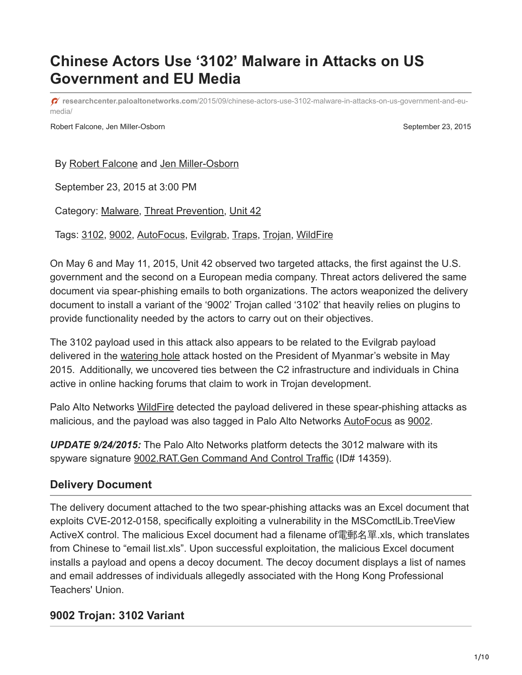# **Chinese Actors Use '3102' Malware in Attacks on US Government and EU Media**

**researchcenter.paloaltonetworks.com**[/2015/09/chinese-actors-use-3102-malware-in-attacks-on-us-government-and-eu](http://researchcenter.paloaltonetworks.com/2015/09/chinese-actors-use-3102-malware-in-attacks-on-us-government-and-eu-media/)media/

Robert Falcone, Jen Miller-Osborn September 23, 2015

By [Robert Falcone](https://unit42.paloaltonetworks.com/author/robertfalcone/) and [Jen Miller-Osborn](https://unit42.paloaltonetworks.com/author/jen-miller-osborn/)

September 23, 2015 at 3:00 PM

Category: [Malware,](https://unit42.paloaltonetworks.com/category/malware-2/) [Threat Prevention,](https://unit42.paloaltonetworks.com/category/threat-prevention-2/) [Unit 42](https://unit42.paloaltonetworks.com/category/unit42/)

Tags: [3102,](https://unit42.paloaltonetworks.com/tag/3102/) [9002](https://unit42.paloaltonetworks.com/tag/9002/), [AutoFocus](https://unit42.paloaltonetworks.com/tag/autofocus/), [Evilgrab](https://unit42.paloaltonetworks.com/tag/evilgrab/), [Traps](https://unit42.paloaltonetworks.com/tag/traps/), [Trojan](https://unit42.paloaltonetworks.com/tag/trojan/), [WildFire](https://unit42.paloaltonetworks.com/tag/wildfire/)

On May 6 and May 11, 2015, Unit 42 observed two targeted attacks, the first against the U.S. government and the second on a European media company. Threat actors delivered the same document via spear-phishing emails to both organizations. The actors weaponized the delivery document to install a variant of the '9002' Trojan called '3102' that heavily relies on plugins to provide functionality needed by the actors to carry out on their objectives.

The 3102 payload used in this attack also appears to be related to the Evilgrab payload delivered in the [watering hole](https://blog.paloaltonetworks.com/2015/06/evilgrab-delivered-by-watering-hole-attack-on-president-of-myanmars-website/) attack hosted on the President of Myanmar's website in May 2015. Additionally, we uncovered ties between the C2 infrastructure and individuals in China active in online hacking forums that claim to work in Trojan development.

Palo Alto Networks [WildFire](https://www.paloaltonetworks.com/products/technologies/wildfire.html) detected the payload delivered in these spear-phishing attacks as malicious, and the payload was also tagged in Palo Alto Networks [AutoFocus](https://www.paloaltonetworks.com/products/platforms/subscriptions/autofocus.html) as [9002.](https://autofocus.paloaltonetworks.com/#/tag/Unit42.9002)

*UPDATE 9/24/2015:* The Palo Alto Networks platform detects the 3012 malware with its spyware signature [9002.RAT.Gen Command And Control Traffic](https://threatvault.paloaltonetworks.com/Home/ThreatDetail/14359) (ID# 14359).

## **Delivery Document**

The delivery document attached to the two spear-phishing attacks was an Excel document that exploits CVE-2012-0158, specifically exploiting a vulnerability in the MSComctlLib.TreeView ActiveX control. The malicious Excel document had a filename of電郵名單 xls, which translates from Chinese to "email list.xls". Upon successful exploitation, the malicious Excel document installs a payload and opens a decoy document. The decoy document displays a list of names and email addresses of individuals allegedly associated with the Hong Kong Professional Teachers' Union.

## **9002 Trojan: 3102 Variant**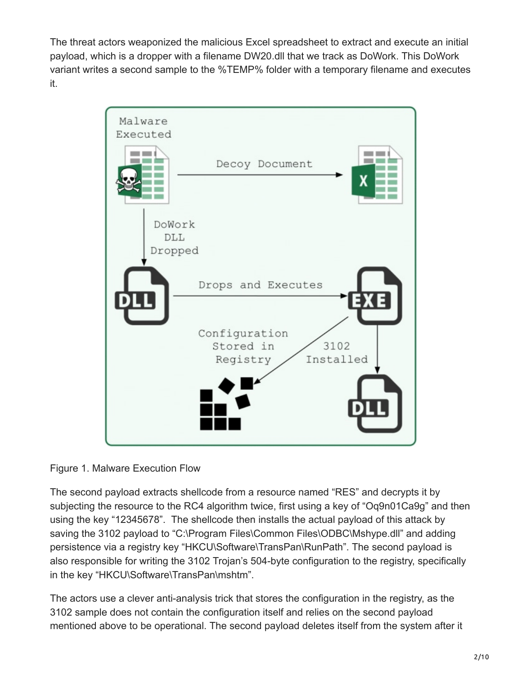The threat actors weaponized the malicious Excel spreadsheet to extract and execute an initial payload, which is a dropper with a filename DW20.dll that we track as DoWork. This DoWork variant writes a second sample to the %TEMP% folder with a temporary filename and executes it.



Figure 1. Malware Execution Flow

The second payload extracts shellcode from a resource named "RES" and decrypts it by subjecting the resource to the RC4 algorithm twice, first using a key of "Oq9n01Ca9g" and then using the key "12345678". The shellcode then installs the actual payload of this attack by saving the 3102 payload to "C:\Program Files\Common Files\ODBC\Mshype.dll" and adding persistence via a registry key "HKCU\Software\TransPan\RunPath". The second payload is also responsible for writing the 3102 Trojan's 504-byte configuration to the registry, specifically in the key "HKCU\Software\TransPan\mshtm".

The actors use a clever anti-analysis trick that stores the configuration in the registry, as the 3102 sample does not contain the configuration itself and relies on the second payload mentioned above to be operational. The second payload deletes itself from the system after it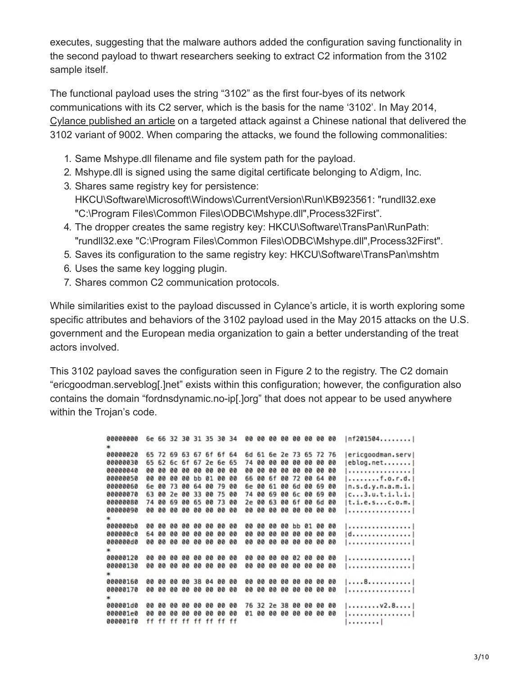executes, suggesting that the malware authors added the configuration saving functionality in the second payload to thwart researchers seeking to extract C2 information from the 3102 sample itself.

The functional payload uses the string "3102" as the first four-byes of its network communications with its C2 server, which is the basis for the name '3102'. In May 2014, [Cylance published an article](http://blog.cylance.com/another-9002-trojan-variant) on a targeted attack against a Chinese national that delivered the 3102 variant of 9002. When comparing the attacks, we found the following commonalities:

- 1. Same Mshype.dll filename and file system path for the payload.
- 2. Mshype.dll is signed using the same digital certificate belonging to A'digm, Inc.
- 3. Shares same registry key for persistence: HKCU\Software\Microsoft\Windows\CurrentVersion\Run\KB923561: "rundll32.exe "C:\Program Files\Common Files\ODBC\Mshype.dll",Process32First".
- 4. The dropper creates the same registry key: HKCU\Software\TransPan\RunPath: "rundll32.exe "C:\Program Files\Common Files\ODBC\Mshype.dll",Process32First".
- 5. Saves its configuration to the same registry key: HKCU\Software\TransPan\mshtm
- 6. Uses the same key logging plugin.
- 7. Shares common C2 communication protocols.

While similarities exist to the payload discussed in Cylance's article, it is worth exploring some specific attributes and behaviors of the 3102 payload used in the May 2015 attacks on the U.S. government and the European media organization to gain a better understanding of the treat actors involved.

This 3102 payload saves the configuration seen in Figure 2 to the registry. The C2 domain "ericgoodman.serveblog[.]net" exists within this configuration; however, the configuration also contains the domain "fordnsdynamic.no-ip[.]org" that does not appear to be used anywhere within the Trojan's code.

> 00000000 6e 66 32 30 31 35 30 34 00 00 00 00 00 00 00 00 1nf201504.......|  $\star$ 00000020 65 72 69 63 67 6f 6f 64 6d 61 6e 2e 73 65 72 76 |ericgoodman.serv| 00000030 65 62 6c 6f 67 2e 6e 65 74 00 00 00 00 00 00 00  $|eblog.net$ ....... 1................. 00000050 00 00 00 00 bb 01 00 00 66 00 6f 00 72 00 64 00  $|.........$ f.o.r.d. 00000060 6e 00 73 00 64 00 79 00 6e 00 61 00 6d 00 69 00  $n.s.d.y.n.a.m.i.$ 00000070 63 00 2e 00 33 00 75 00 74 00 69 00 6c 00 69 00  $[c...3.u.t.i.l.i.]$  $|t.i.e.s...c.o.m.|$ 00000080 74 00 69 00 65 00 73 00 2e 00 63 00 6f 00 6d 00 1. . . . . . . . . . . . . . . . 1 | . . . . . . . . . . . . . . . . |  $|d$ ...............  $|...............|$ <u>| . . . . . . . . . . . . . . . . |</u>  $|...............|$ 00000160 00 00 00 00 38 04 00 00 00 00 00 00 00 00 00 00  $|...8............|$ <u> | vystativa razista | </u>  $|$ ........v2.8....| 000001d0 00 00 00 00 00 00 00 00 76 32 2e 38 00 00 00 00 | . . . . . . . . . . . . . . . . | 000001f0 ff ff ff ff ff ff ff ff  $|.........|$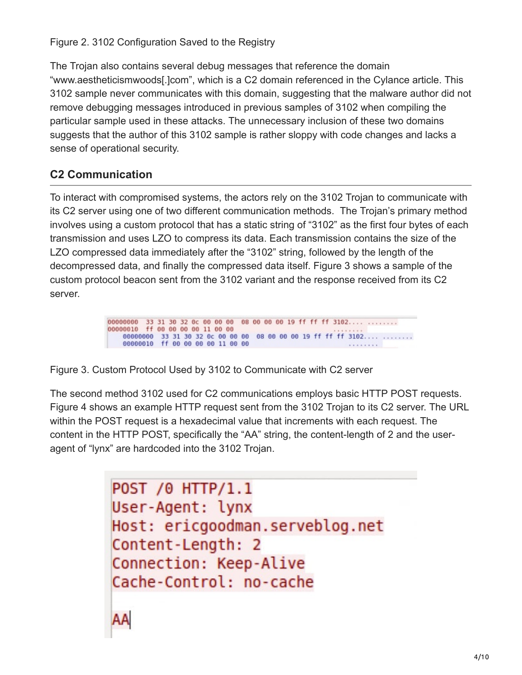Figure 2. 3102 Configuration Saved to the Registry

The Trojan also contains several debug messages that reference the domain "www.aestheticismwoods[.]com", which is a C2 domain referenced in the Cylance article. This 3102 sample never communicates with this domain, suggesting that the malware author did not remove debugging messages introduced in previous samples of 3102 when compiling the particular sample used in these attacks. The unnecessary inclusion of these two domains suggests that the author of this 3102 sample is rather sloppy with code changes and lacks a sense of operational security.

## **C2 Communication**

AA

To interact with compromised systems, the actors rely on the 3102 Trojan to communicate with its C2 server using one of two different communication methods. The Trojan's primary method involves using a custom protocol that has a static string of "3102" as the first four bytes of each transmission and uses LZO to compress its data. Each transmission contains the size of the LZO compressed data immediately after the "3102" string, followed by the length of the decompressed data, and finally the compressed data itself. Figure 3 shows a sample of the custom protocol beacon sent from the 3102 variant and the response received from its C2 server.

> 00000000 33 31 30 32 0c 00 00 00 08 00 00 00 19 ff ff ff 3102.... ........ 00000010 ff 00 00 00 00 11 00 00 00000000 33 31 30 32 0c 00 00 00 08 00 00 00 19 ff ff ff 3102.... ........ 00000010 ff 00 00 00 00 11 00 00 ........

Figure 3. Custom Protocol Used by 3102 to Communicate with C2 server

The second method 3102 used for C2 communications employs basic HTTP POST requests. Figure 4 shows an example HTTP request sent from the 3102 Trojan to its C2 server. The URL within the POST request is a hexadecimal value that increments with each request. The content in the HTTP POST, specifically the "AA" string, the content-length of 2 and the useragent of "lynx" are hardcoded into the 3102 Trojan.

> POST /0 HTTP/1.1 User-Agent: lynx Host: ericgoodman.serveblog.net Content-Length: 2 Connection: Keep-Alive Cache-Control: no-cache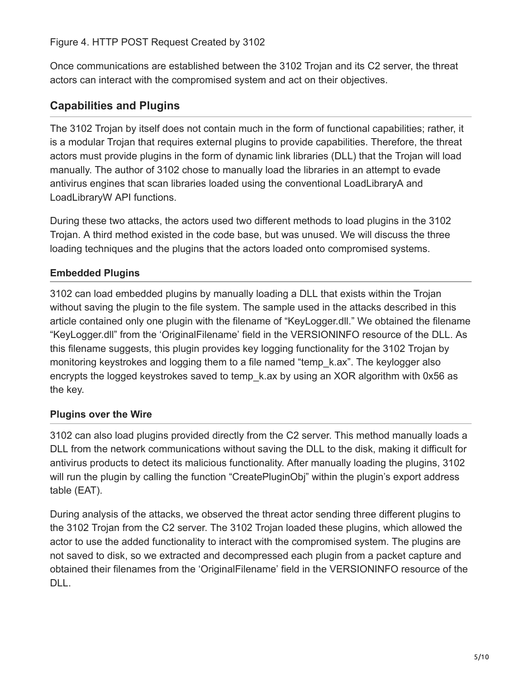#### Figure 4. HTTP POST Request Created by 3102

Once communications are established between the 3102 Trojan and its C2 server, the threat actors can interact with the compromised system and act on their objectives.

## **Capabilities and Plugins**

The 3102 Trojan by itself does not contain much in the form of functional capabilities; rather, it is a modular Trojan that requires external plugins to provide capabilities. Therefore, the threat actors must provide plugins in the form of dynamic link libraries (DLL) that the Trojan will load manually. The author of 3102 chose to manually load the libraries in an attempt to evade antivirus engines that scan libraries loaded using the conventional LoadLibraryA and LoadLibraryW API functions.

During these two attacks, the actors used two different methods to load plugins in the 3102 Trojan. A third method existed in the code base, but was unused. We will discuss the three loading techniques and the plugins that the actors loaded onto compromised systems.

#### **Embedded Plugins**

3102 can load embedded plugins by manually loading a DLL that exists within the Trojan without saving the plugin to the file system. The sample used in the attacks described in this article contained only one plugin with the filename of "KeyLogger.dll." We obtained the filename "KeyLogger.dll" from the 'OriginalFilename' field in the VERSIONINFO resource of the DLL. As this filename suggests, this plugin provides key logging functionality for the 3102 Trojan by monitoring keystrokes and logging them to a file named "temp\_k.ax". The keylogger also encrypts the logged keystrokes saved to temp\_k.ax by using an XOR algorithm with 0x56 as the key.

#### **Plugins over the Wire**

3102 can also load plugins provided directly from the C2 server. This method manually loads a DLL from the network communications without saving the DLL to the disk, making it difficult for antivirus products to detect its malicious functionality. After manually loading the plugins, 3102 will run the plugin by calling the function "CreatePluginObj" within the plugin's export address table (EAT).

During analysis of the attacks, we observed the threat actor sending three different plugins to the 3102 Trojan from the C2 server. The 3102 Trojan loaded these plugins, which allowed the actor to use the added functionality to interact with the compromised system. The plugins are not saved to disk, so we extracted and decompressed each plugin from a packet capture and obtained their filenames from the 'OriginalFilename' field in the VERSIONINFO resource of the DLL.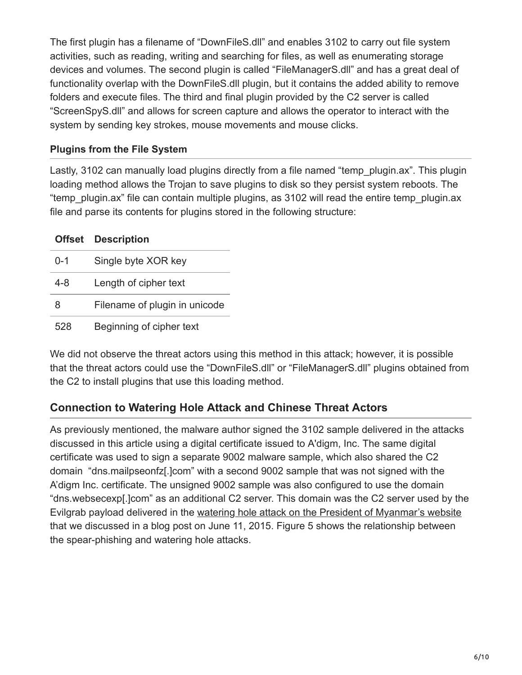The first plugin has a filename of "DownFileS.dll" and enables 3102 to carry out file system activities, such as reading, writing and searching for files, as well as enumerating storage devices and volumes. The second plugin is called "FileManagerS.dll" and has a great deal of functionality overlap with the DownFileS.dll plugin, but it contains the added ability to remove folders and execute files. The third and final plugin provided by the C2 server is called "ScreenSpyS.dll" and allows for screen capture and allows the operator to interact with the system by sending key strokes, mouse movements and mouse clicks.

#### **Plugins from the File System**

Lastly, 3102 can manually load plugins directly from a file named "temp plugin.ax". This plugin loading method allows the Trojan to save plugins to disk so they persist system reboots. The "temp\_plugin.ax" file can contain multiple plugins, as 3102 will read the entire temp\_plugin.ax file and parse its contents for plugins stored in the following structure:

|         | <b>Offset Description</b>     |
|---------|-------------------------------|
| $0 - 1$ | Single byte XOR key           |
| $4 - 8$ | Length of cipher text         |
| 8       | Filename of plugin in unicode |
| 528     | Beginning of cipher text      |

We did not observe the threat actors using this method in this attack; however, it is possible that the threat actors could use the "DownFileS.dll" or "FileManagerS.dll" plugins obtained from the C2 to install plugins that use this loading method.

## **Connection to Watering Hole Attack and Chinese Threat Actors**

As previously mentioned, the malware author signed the 3102 sample delivered in the attacks discussed in this article using a digital certificate issued to A'digm, Inc. The same digital certificate was used to sign a separate 9002 malware sample, which also shared the C2 domain "dns.mailpseonfz[.]com" with a second 9002 sample that was not signed with the A'digm Inc. certificate. The unsigned 9002 sample was also configured to use the domain "dns.websecexp[.]com" as an additional C2 server. This domain was the C2 server used by the Evilgrab payload delivered in the [watering hole attack on the President of Myanmar's website](https://blog.paloaltonetworks.com/2015/06/evilgrab-delivered-by-watering-hole-attack-on-president-of-myanmars-website/) that we discussed in a blog post on June 11, 2015. Figure 5 shows the relationship between the spear-phishing and watering hole attacks.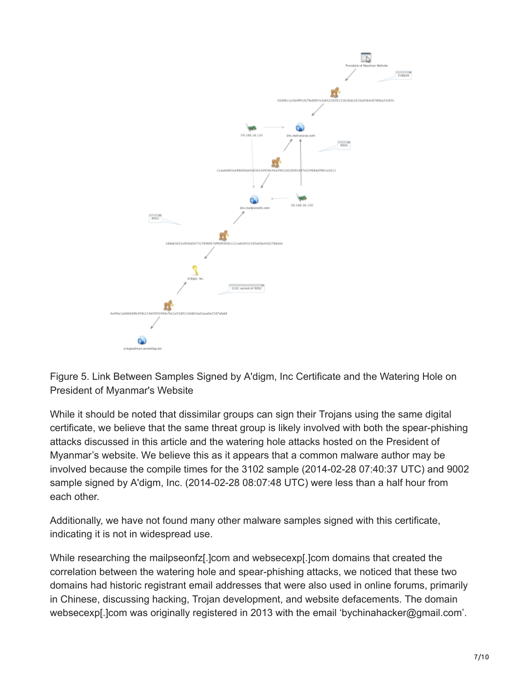

Figure 5. Link Between Samples Signed by A'digm, Inc Certificate and the Watering Hole on President of Myanmar's Website

While it should be noted that dissimilar groups can sign their Trojans using the same digital certificate, we believe that the same threat group is likely involved with both the spear-phishing attacks discussed in this article and the watering hole attacks hosted on the President of Myanmar's website. We believe this as it appears that a common malware author may be involved because the compile times for the 3102 sample (2014-02-28 07:40:37 UTC) and 9002 sample signed by A'digm, Inc. (2014-02-28 08:07:48 UTC) were less than a half hour from each other.

Additionally, we have not found many other malware samples signed with this certificate, indicating it is not in widespread use.

While researching the mailpseonfz[.]com and websecexp[.]com domains that created the correlation between the watering hole and spear-phishing attacks, we noticed that these two domains had historic registrant email addresses that were also used in online forums, primarily in Chinese, discussing hacking, Trojan development, and website defacements. The domain websecexp[.]com was originally registered in 2013 with the email 'bychinahacker@gmail.com'.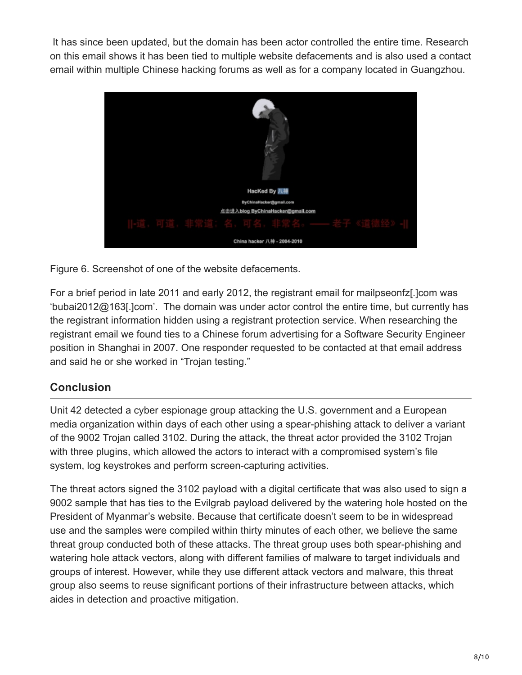It has since been updated, but the domain has been actor controlled the entire time. Research on this email shows it has been tied to multiple website defacements and is also used a contact email within multiple Chinese hacking forums as well as for a company located in Guangzhou.



Figure 6. Screenshot of one of the website defacements.

For a brief period in late 2011 and early 2012, the registrant email for mailpseonfz[.]com was 'bubai2012@163[.]com'. The domain was under actor control the entire time, but currently has the registrant information hidden using a registrant protection service. When researching the registrant email we found ties to a Chinese forum advertising for a Software Security Engineer position in Shanghai in 2007. One responder requested to be contacted at that email address and said he or she worked in "Trojan testing."

## **Conclusion**

Unit 42 detected a cyber espionage group attacking the U.S. government and a European media organization within days of each other using a spear-phishing attack to deliver a variant of the 9002 Trojan called 3102. During the attack, the threat actor provided the 3102 Trojan with three plugins, which allowed the actors to interact with a compromised system's file system, log keystrokes and perform screen-capturing activities.

The threat actors signed the 3102 payload with a digital certificate that was also used to sign a 9002 sample that has ties to the Evilgrab payload delivered by the watering hole hosted on the President of Myanmar's website. Because that certificate doesn't seem to be in widespread use and the samples were compiled within thirty minutes of each other, we believe the same threat group conducted both of these attacks. The threat group uses both spear-phishing and watering hole attack vectors, along with different families of malware to target individuals and groups of interest. However, while they use different attack vectors and malware, this threat group also seems to reuse significant portions of their infrastructure between attacks, which aides in detection and proactive mitigation.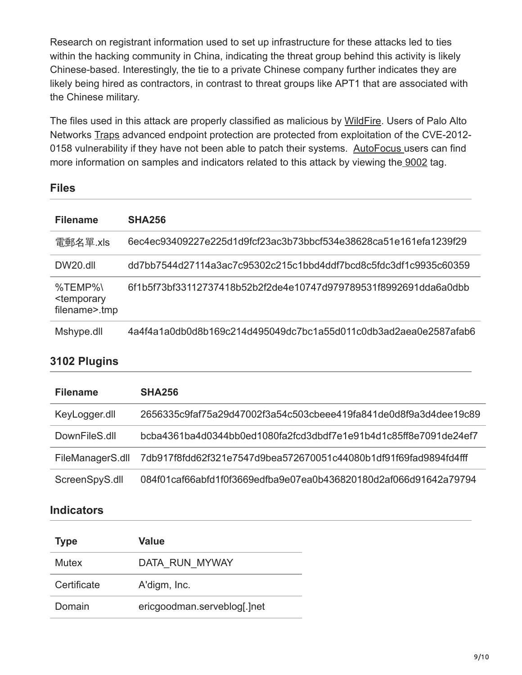Research on registrant information used to set up infrastructure for these attacks led to ties within the hacking community in China, indicating the threat group behind this activity is likely Chinese-based. Interestingly, the tie to a private Chinese company further indicates they are likely being hired as contractors, in contrast to threat groups like APT1 that are associated with the Chinese military.

The files used in this attack are properly classified as malicious by [WildFire.](https://www.paloaltonetworks.com/products/technologies/wildfire.html) Users of Palo Alto Networks [Traps](https://www.paloaltonetworks.com/products/endpoint-security.html) advanced endpoint protection are protected from exploitation of the CVE-2012- 0158 vulnerability if they have not been able to patch their systems. [AutoFocus](https://www.paloaltonetworks.com/products/platforms/subscriptions/autofocus.html) users can find more information on samples and indicators related to this attack by viewing the [9002](https://autofocus.paloaltonetworks.com/#/tag/Unit42.9002) tag.

### **Files**

| <b>Filename</b>                                               | <b>SHA256</b>                                                    |
|---------------------------------------------------------------|------------------------------------------------------------------|
| 電郵名單.xls                                                      | 6ec4ec93409227e225d1d9fcf23ac3b73bbcf534e38628ca51e161efa1239f29 |
| DW20.dll                                                      | dd7bb7544d27114a3ac7c95302c215c1bbd4ddf7bcd8c5fdc3df1c9935c60359 |
| $%$ TEMP $%$<br><temporary<br>filename&gt;.tmp</temporary<br> | 6f1b5f73bf33112737418b52b2f2de4e10747d979789531f8992691dda6a0dbb |
| Mshype.dll                                                    | 4a4f4a1a0db0d8b169c214d495049dc7bc1a55d011c0db3ad2aea0e2587afab6 |

## **3102 Plugins**

| <b>Filename</b>  | <b>SHA256</b>                                                    |
|------------------|------------------------------------------------------------------|
| KeyLogger.dll    | 2656335c9faf75a29d47002f3a54c503cbeee419fa841de0d8f9a3d4dee19c89 |
| DownFileS.dll    | bcba4361ba4d0344bb0ed1080fa2fcd3dbdf7e1e91b4d1c85ff8e7091de24ef7 |
| FileManagerS.dll | 7db917f8fdd62f321e7547d9bea572670051c44080b1df91f69fad9894fd4fff |
| ScreenSpyS.dll   | 084f01caf66abfd1f0f3669edfba9e07ea0b436820180d2af066d91642a79794 |

### **Indicators**

| <b>Type</b> | Value                       |
|-------------|-----------------------------|
| Mutex       | DATA RUN MYWAY              |
| Certificate | A'digm, Inc.                |
| Domain      | ericgoodman.serveblog[.]net |